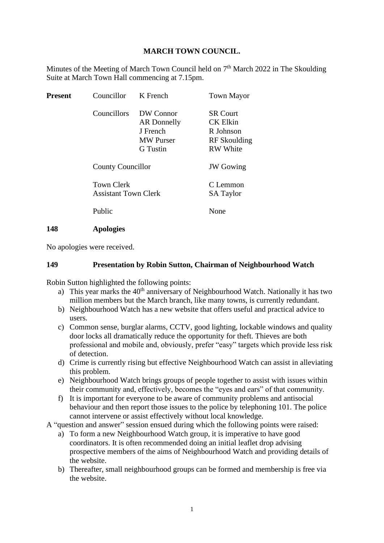#### **MARCH TOWN COUNCIL.**

Minutes of the Meeting of March Town Council held on  $7<sup>th</sup>$  March 2022 in The Skoulding Suite at March Town Hall commencing at 7.15pm.

| <b>Present</b> | Councillor                                       | K French                                                                    | <b>Town Mayor</b>                                                                  |
|----------------|--------------------------------------------------|-----------------------------------------------------------------------------|------------------------------------------------------------------------------------|
|                | Councillors                                      | DW Connor<br>AR Donnelly<br>J French<br><b>MW</b> Purser<br><b>G</b> Tustin | <b>SR Court</b><br><b>CK Elkin</b><br>R Johnson<br>RF Skoulding<br><b>RW</b> White |
|                | <b>County Councillor</b>                         |                                                                             | <b>JW</b> Gowing                                                                   |
|                | <b>Town Clerk</b><br><b>Assistant Town Clerk</b> |                                                                             | C Lemmon<br><b>SA Taylor</b>                                                       |
|                | Public                                           |                                                                             | None                                                                               |
| 148            | <b>Apologies</b>                                 |                                                                             |                                                                                    |

No apologies were received.

#### **149 Presentation by Robin Sutton, Chairman of Neighbourhood Watch**

Robin Sutton highlighted the following points:

- a) This year marks the  $40<sup>th</sup>$  anniversary of Neighbourhood Watch. Nationally it has two million members but the March branch, like many towns, is currently redundant.
- b) Neighbourhood Watch has a new website that offers useful and practical advice to users.
- c) Common sense, burglar alarms, CCTV, good lighting, lockable windows and quality door locks all dramatically reduce the opportunity for theft. Thieves are both professional and mobile and, obviously, prefer "easy" targets which provide less risk of detection.
- d) Crime is currently rising but effective Neighbourhood Watch can assist in alleviating this problem.
- e) Neighbourhood Watch brings groups of people together to assist with issues within their community and, effectively, becomes the "eyes and ears" of that community.
- f) It is important for everyone to be aware of community problems and antisocial behaviour and then report those issues to the police by telephoning 101. The police cannot intervene or assist effectively without local knowledge.

A "question and answer" session ensued during which the following points were raised:

- a) To form a new Neighbourhood Watch group, it is imperative to have good coordinators. It is often recommended doing an initial leaflet drop advising prospective members of the aims of Neighbourhood Watch and providing details of the website.
- b) Thereafter, small neighbourhood groups can be formed and membership is free via the website.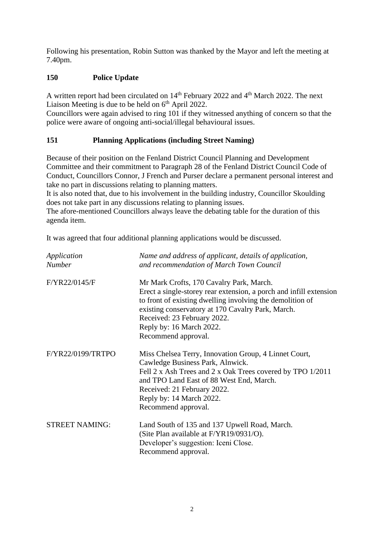Following his presentation, Robin Sutton was thanked by the Mayor and left the meeting at 7.40pm.

# **150 Police Update**

A written report had been circulated on 14<sup>th</sup> February 2022 and 4<sup>th</sup> March 2022. The next Liaison Meeting is due to be held on 6<sup>th</sup> April 2022.

Councillors were again advised to ring 101 if they witnessed anything of concern so that the police were aware of ongoing anti-social/illegal behavioural issues.

# **151 Planning Applications (including Street Naming)**

Because of their position on the Fenland District Council Planning and Development Committee and their commitment to Paragraph 28 of the Fenland District Council Code of Conduct, Councillors Connor, J French and Purser declare a permanent personal interest and take no part in discussions relating to planning matters.

It is also noted that, due to his involvement in the building industry, Councillor Skoulding does not take part in any discussions relating to planning issues.

The afore-mentioned Councillors always leave the debating table for the duration of this agenda item.

It was agreed that four additional planning applications would be discussed.

| Application<br><b>Number</b> | Name and address of applicant, details of application,<br>and recommendation of March Town Council                                                                                                                                                                                          |
|------------------------------|---------------------------------------------------------------------------------------------------------------------------------------------------------------------------------------------------------------------------------------------------------------------------------------------|
| F/YR22/0145/F                | Mr Mark Crofts, 170 Cavalry Park, March.<br>Erect a single-storey rear extension, a porch and infill extension<br>to front of existing dwelling involving the demolition of<br>existing conservatory at 170 Cavalry Park, March.<br>Received: 23 February 2022.<br>Reply by: 16 March 2022. |
|                              | Recommend approval.                                                                                                                                                                                                                                                                         |
| F/YR22/0199/TRTPO            | Miss Chelsea Terry, Innovation Group, 4 Linnet Court,<br>Cawledge Business Park, Alnwick.<br>Fell 2 x Ash Trees and 2 x Oak Trees covered by TPO 1/2011<br>and TPO Land East of 88 West End, March.<br>Received: 21 February 2022.<br>Reply by: 14 March 2022.<br>Recommend approval.       |
| <b>STREET NAMING:</b>        | Land South of 135 and 137 Upwell Road, March.<br>(Site Plan available at F/YR19/0931/O).<br>Developer's suggestion: Iceni Close.<br>Recommend approval.                                                                                                                                     |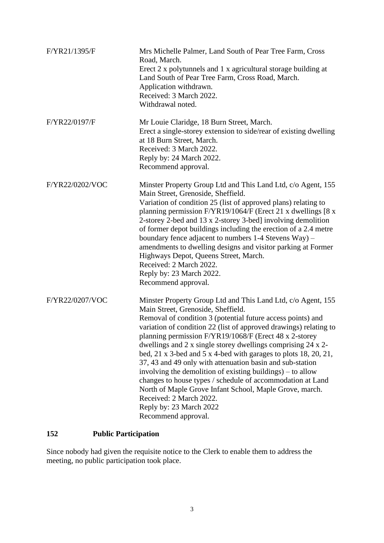| F/YR21/1395/F   | Mrs Michelle Palmer, Land South of Pear Tree Farm, Cross<br>Road, March.<br>Erect 2 x polytunnels and 1 x agricultural storage building at<br>Land South of Pear Tree Farm, Cross Road, March.<br>Application withdrawn.<br>Received: 3 March 2022.<br>Withdrawal noted.                                                                                                                                                                                                                                                                                                                                                                                                                                                                                                |
|-----------------|-------------------------------------------------------------------------------------------------------------------------------------------------------------------------------------------------------------------------------------------------------------------------------------------------------------------------------------------------------------------------------------------------------------------------------------------------------------------------------------------------------------------------------------------------------------------------------------------------------------------------------------------------------------------------------------------------------------------------------------------------------------------------|
| F/YR22/0197/F   | Mr Louie Claridge, 18 Burn Street, March.<br>Erect a single-storey extension to side/rear of existing dwelling<br>at 18 Burn Street, March.<br>Received: 3 March 2022.<br>Reply by: 24 March 2022.<br>Recommend approval.                                                                                                                                                                                                                                                                                                                                                                                                                                                                                                                                               |
| F/YR22/0202/VOC | Minster Property Group Ltd and This Land Ltd, c/o Agent, 155<br>Main Street, Grenoside, Sheffield.<br>Variation of condition 25 (list of approved plans) relating to<br>planning permission F/YR19/1064/F (Erect 21 x dwellings [8 x<br>2-storey 2-bed and 13 x 2-storey 3-bed] involving demolition<br>of former depot buildings including the erection of a 2.4 metre<br>boundary fence adjacent to numbers 1-4 Stevens Way) -<br>amendments to dwelling designs and visitor parking at Former<br>Highways Depot, Queens Street, March.<br>Received: 2 March 2022.<br>Reply by: 23 March 2022.<br>Recommend approval.                                                                                                                                                 |
| F/YR22/0207/VOC | Minster Property Group Ltd and This Land Ltd, c/o Agent, 155<br>Main Street, Grenoside, Sheffield.<br>Removal of condition 3 (potential future access points) and<br>variation of condition 22 (list of approved drawings) relating to<br>planning permission F/YR19/1068/F (Erect 48 x 2-storey<br>dwellings and 2 x single storey dwellings comprising 24 x 2-<br>bed, 21 x 3-bed and 5 x 4-bed with garages to plots $18, 20, 21$ ,<br>37, 43 and 49 only with attenuation basin and sub-station<br>involving the demolition of existing buildings) – to allow<br>changes to house types / schedule of accommodation at Land<br>North of Maple Grove Infant School, Maple Grove, march.<br>Received: 2 March 2022.<br>Reply by: 23 March 2022<br>Recommend approval. |

# **152 Public Participation**

Since nobody had given the requisite notice to the Clerk to enable them to address the meeting, no public participation took place.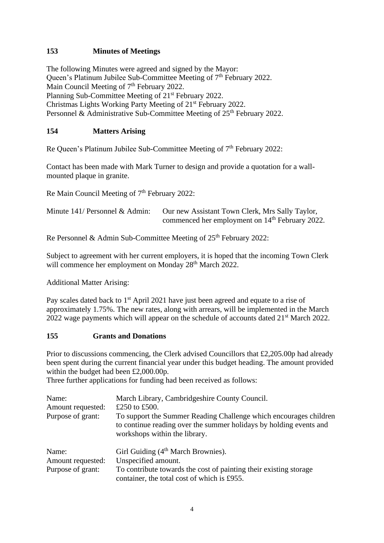## **153 Minutes of Meetings**

The following Minutes were agreed and signed by the Mayor: Queen's Platinum Jubilee Sub-Committee Meeting of 7<sup>th</sup> February 2022. Main Council Meeting of 7<sup>th</sup> February 2022. Planning Sub-Committee Meeting of 21<sup>st</sup> February 2022. Christmas Lights Working Party Meeting of 21st February 2022. Personnel & Administrative Sub-Committee Meeting of  $25<sup>th</sup>$  February 2022.

#### **154 Matters Arising**

Re Queen's Platinum Jubilee Sub-Committee Meeting of 7<sup>th</sup> February 2022:

Contact has been made with Mark Turner to design and provide a quotation for a wallmounted plaque in granite.

Re Main Council Meeting of 7<sup>th</sup> February 2022:

| Minute $141/$ Personnel & Admin: | Our new Assistant Town Clerk, Mrs Sally Taylor,             |
|----------------------------------|-------------------------------------------------------------|
|                                  | commenced her employment on 14 <sup>th</sup> February 2022. |

Re Personnel & Admin Sub-Committee Meeting of 25<sup>th</sup> February 2022:

Subject to agreement with her current employers, it is hoped that the incoming Town Clerk will commence her employment on Monday 28<sup>th</sup> March 2022.

Additional Matter Arising:

Pay scales dated back to 1<sup>st</sup> April 2021 have just been agreed and equate to a rise of approximately 1.75%. The new rates, along with arrears, will be implemented in the March 2022 wage payments which will appear on the schedule of accounts dated 21<sup>st</sup> March 2022.

#### **155 Grants and Donations**

Prior to discussions commencing, the Clerk advised Councillors that £2,205.00p had already been spent during the current financial year under this budget heading. The amount provided within the budget had been £2,000.00p.

Three further applications for funding had been received as follows:

| Name:<br>Amount requested:<br>Purpose of grant: | March Library, Cambridgeshire County Council.<br>£250 to £500.<br>To support the Summer Reading Challenge which encourages children<br>to continue reading over the summer holidays by holding events and<br>workshops within the library. |
|-------------------------------------------------|--------------------------------------------------------------------------------------------------------------------------------------------------------------------------------------------------------------------------------------------|
| Name:<br>Amount requested:<br>Purpose of grant: | Girl Guiding (4 <sup>th</sup> March Brownies).<br>Unspecified amount.<br>To contribute towards the cost of painting their existing storage<br>container, the total cost of which is £955.                                                  |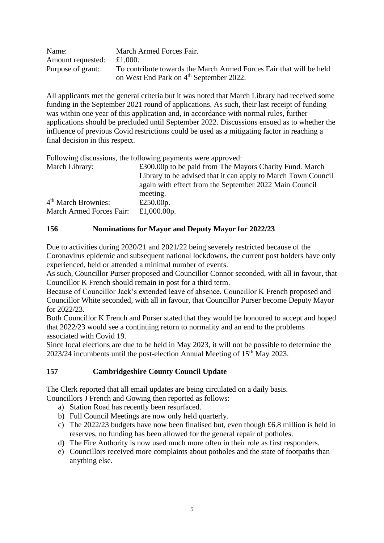| Name:                                                                                    | March Armed Forces Fair.                            |
|------------------------------------------------------------------------------------------|-----------------------------------------------------|
| Amount requested: $£1,000$ .                                                             |                                                     |
| To contribute towards the March Armed Forces Fair that will be held<br>Purpose of grant: |                                                     |
|                                                                                          | on West End Park on 4 <sup>th</sup> September 2022. |

All applicants met the general criteria but it was noted that March Library had received some funding in the September 2021 round of applications. As such, their last receipt of funding was within one year of this application and, in accordance with normal rules, further applications should be precluded until September 2022. Discussions ensued as to whether the influence of previous Covid restrictions could be used as a mitigating factor in reaching a final decision in this respect.

Following discussions, the following payments were approved:

| March Library:                  | £300.00p to be paid from The Mayors Charity Fund. March       |
|---------------------------------|---------------------------------------------------------------|
|                                 | Library to be advised that it can apply to March Town Council |
|                                 | again with effect from the September 2022 Main Council        |
|                                 | meeting.                                                      |
| 4 <sup>th</sup> March Brownies: | £250.00 $p$ .                                                 |
| March Armed Forces Fair:        | £1,000.00p.                                                   |

#### **156 Nominations for Mayor and Deputy Mayor for 2022/23**

Due to activities during 2020/21 and 2021/22 being severely restricted because of the Coronavirus epidemic and subsequent national lockdowns, the current post holders have only experienced, held or attended a minimal number of events.

As such, Councillor Purser proposed and Councillor Connor seconded, with all in favour, that Councillor K French should remain in post for a third term.

Because of Councillor Jack's extended leave of absence, Councillor K French proposed and Councillor White seconded, with all in favour, that Councillor Purser become Deputy Mayor for 2022/23.

Both Councillor K French and Purser stated that they would be honoured to accept and hoped that 2022/23 would see a continuing return to normality and an end to the problems associated with Covid 19.

Since local elections are due to be held in May 2023, it will not be possible to determine the  $2023/24$  incumbents until the post-election Annual Meeting of  $15<sup>th</sup>$  May 2023.

#### **157 Cambridgeshire County Council Update**

The Clerk reported that all email updates are being circulated on a daily basis.

Councillors J French and Gowing then reported as follows:

- a) Station Road has recently been resurfaced.
- b) Full Council Meetings are now only held quarterly.
- c) The 2022/23 budgets have now been finalised but, even though £6.8 million is held in reserves, no funding has been allowed for the general repair of potholes.
- d) The Fire Authority is now used much more often in their role as first responders.
- e) Councillors received more complaints about potholes and the state of footpaths than anything else.